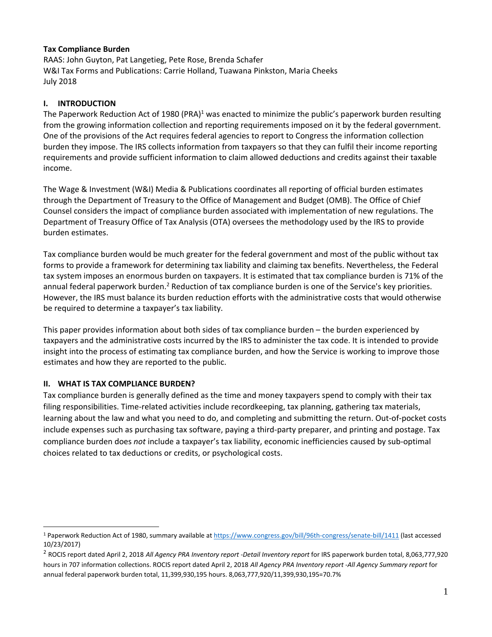# **Tax Compliance Burden**

RAAS: John Guyton, Pat Langetieg, Pete Rose, Brenda Schafer<br>W&I Tax Forms and Publications: Carrie Holland, Tuawana Pinkston, Maria Cheeks RAAS: John Guyton, Pat Langetieg, Pete Rose, Brenda Schafer July 2018

# **I. INTRODUCTION**

The Paperwork Reduction Act of 1980 (PRA)<sup>1</sup> was enacted to minimize the public's paperwork burden resulting from the growing information collection and reporting requirements imposed on it by the federal government. One of the provisions of the Act requires federal agencies to report to Congress the information collection One of the provisions of the Act requires federal agencies to report to Congress the information collection<br>burden they impose. The IRS collects information from taxpayers so that they can fulfil their income reporting requirements and provide sufficient information to claim allowed deductions and credits against their taxable<br>income. income.

The Wage & Investment (W&I) Media & Publications coordinates all reporting of official burden estimates<br>through the Department of Treasury to the Office of Management and Budget (OMB). The Office of Chief through the Department of Treasury to the Office of Management and Budget (OMB). The Office of Chief Counsel considers the impact of compliance burden associated with implementation of new regulations. The<br>Department of Treasury Office of Tax Analysis (OTA) oversees the methodology used by the IRS to provide Department of Treasury Office of Tax Analysis (OTA) oversees the methodology used by the IRS to provide burden estimates.

Tax compliance burden would be much greater for the federal government and most of the public without tax forms to provide a framework for determining tax liability and claiming tax benefits. Nevertheless, the Federal tax system imposes an enormous burden on taxpayers. It is estimated that tax compliance burden is 71% of the annual federal paperwork burden.<sup>2</sup> Reduction of tax compliance burden is one of the Service's key priorities. However, the IRS must balance its burden reduction efforts with the administrative costs that would otherwise be required to determine a taxpayer's tax liability. Tax compliance burden would be much greater for the federal government and most of the public without tax<br>forms to provide a framework for determining tax liability and claiming tax benefits. Nevertheless, the Federal<br>tax

This paper provides information about both sides of tax compliance burden - the burden experienced by taxpayers and the administrative costs incurred by the IRS to administer the tax code. It is intended to provide insight into the process of estimating tax compliance burden, and how the Service is working to improve those estimates and how they are reported to the public.

## **II. WHAT IS TAX COMPLIANCE BURDEN?**

 Tax compliance burden is generally defined as the time and money taxpayers spend to comply with their tax filing responsibilities. Time-related activities include recordkeeping, tax planning, gathering tax materials, filing responsibilities. Time‐related activities include recordkeeping, tax planning, gathering tax materials,<br>learning about the law and what you need to do, and completing and submitting the return. Out‐of‐pocket costs include expenses such as purchasing tax software, paying a third-party preparer, and printing and postage. Tax burden does not include a taxpayer's tax liability, economic inefficiencies caused by sub-optimal choices related to tax deductions or credits, or psychological costs. include expenses such as purchasing tax software, paying a third-party preparer, and printing and postage. Tax<br>compliance burden does *not* include a taxpayer's tax liability, economic inefficiencies caused by sub-optimal<br>

<sup>&</sup>lt;sup>1</sup> Paperwork Reduction Act of 1980, summary available at [https://www.congress.gov/bill/96th](https://www.congress.gov/bill/96th%E2%80%90congress/senate%E2%80%90bill/1411)-congress/senate-bill/1411 (last accessed 10/23/2017)

<sup>&</sup>lt;sup>2</sup> ROCIS report dated April 2, 2018 All Agency PRA Inventory report -Detail Inventory report for IRS paperwork burden total, 8,063,777,920 hours in 707 information collections. ROCIS report dated April 2, 2018 All Agency PRA Inventory report -All Agency Summary report for annual federal paperwork burden total, 11,399,930,195 hours. 8,063,777,920/11,399,930,195=70.7%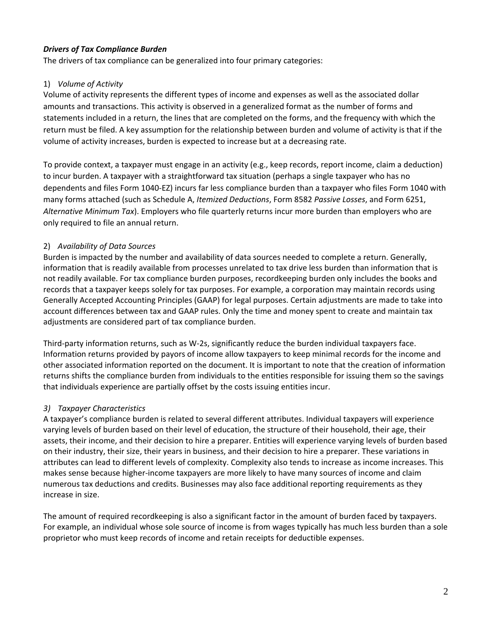# *Drivers of Tax Compliance Burden*

The drivers of tax compliance can be generalized into four primary categories:

# 1) *Volume of Activity*

 Volume of activity represents the different types of income and expenses as well as the associated dollar amounts and transactions. This activity is observed in a generalized format as the number of forms and statements included in a return, the lines that are completed on the forms, and the frequency with which the return must be filed. A key assumption for the relationship between burden and volume of activity is that if the volume of activity increases, burden is expected to increase but at a decreasing rate.

 To provide context, a taxpayer must engage in an activity (e.g., keep records, report income, claim a deduction) to incur burden. A taxpayer with a straightforward tax situation (perhaps a single taxpayer who has no dependents and files Form 1040‐EZ) incurs far less compliance burden than a taxpayer who files Form 1040 with many forms attached (such as Schedule A, *Itemized Deductions*, Form 8582 *Passive Losses*, and Form 6251,  *Alternative Minimum Tax*). Employers who file quarterly returns incur more burden than employers who are only required to file an annual return.

# 2) *Availability of Data Sources*

 Burden is impacted by the number and availability of data sources needed to complete a return. Generally, information that is readily available from processes unrelated to tax drive less burden than information that is not readily available. For tax compliance burden purposes, recordkeeping burden only includes the books and records that a taxpayer keeps solely for tax purposes. For example, a corporation may maintain records using Generally Accepted Accounting Principles (GAAP) for legal purposes. Certain adjustments are made to take into account differences between tax and GAAP rules. Only the time and money spent to create and maintain tax adjustments are considered part of tax compliance burden.

 Third‐party information returns, such as W‐2s, significantly reduce the burden individual taxpayers face. Information returns provided by payors of income allow taxpayers to keep minimal records for the income and other associated information reported on the document. It is important to note that the creation of information returns shifts the compliance burden from individuals to the entities responsible for issuing them so the savings that individuals experience are partially offset by the costs issuing entities incur.

# *3) Taxpayer Characteristics*

 A taxpayer's compliance burden is related to several different attributes. Individual taxpayers will experience varying levels of burden based on their level of education, the structure of their household, their age, their assets, their income, and their decision to hire a preparer. Entities will experience varying levels of burden based on their industry, their size, their years in business, and their decision to hire a preparer. These variations in attributes can lead to different levels of complexity. Complexity also tends to increase as income increases. This makes sense because higher‐income taxpayers are more likely to have many sources of income and claim numerous tax deductions and credits. Businesses may also face additional reporting requirements as they increase in size.

 The amount of required recordkeeping is also a significant factor in the amount of burden faced by taxpayers. For example, an individual whose sole source of income is from wages typically has much less burden than a sole proprietor who must keep records of income and retain receipts for deductible expenses.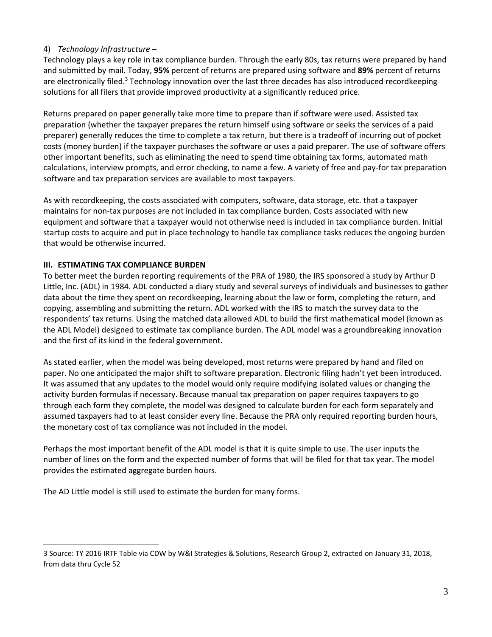# 4) *Technology Infrastructure* –

 Technology plays a key role in tax compliance burden. Through the early 80s, tax returns were prepared by hand and submitted by mail. Today, **95%** percent of returns are prepared using software and **89%** percent of returns are electronically filed.<sup>3</sup> Technology innovation over the last three decades has also introduced recordkeeping solutions for all filers that provide improved productivity at a significantly reduced price.

 Returns prepared on paper generally take more time to prepare than if software were used. Assisted tax preparation (whether the taxpayer prepares the return himself using software or seeks the services of a paid preparer) generally reduces the time to complete a tax return, but there is a tradeoff of incurring out of pocket costs (money burden) if the taxpayer purchases the software or uses a paid preparer. The use of software offers other important benefits, such as eliminating the need to spend time obtaining tax forms, automated math calculations, interview prompts, and error checking, to name a few. A variety of free and pay‐for tax preparation software and tax preparation services are available to most taxpayers.

 As with recordkeeping, the costs associated with computers, software, data storage, etc. that a taxpayer maintains for non‐tax purposes are not included in tax compliance burden. Costs associated with new equipment and software that a taxpayer would not otherwise need is included in tax compliance burden. Initial startup costs to acquire and put in place technology to handle tax compliance tasks reduces the ongoing burden that would be otherwise incurred.

# **III. ESTIMATING TAX COMPLIANCE BURDEN**

 To better meet the burden reporting requirements of the PRA of 1980, the IRS sponsored a study by Arthur D Little, Inc. (ADL) in 1984. ADL conducted a diary study and several surveys of individuals and businesses to gather data about the time they spent on recordkeeping, learning about the law or form, completing the return, and copying, assembling and submitting the return. ADL worked with the IRS to match the survey data to the respondents' tax returns. Using the matched data allowed ADL to build the first mathematical model (known as the ADL Model) designed to estimate tax compliance burden. The ADL model was a groundbreaking innovation and the first of its kind in the federal government.

 As stated earlier, when the model was being developed, most returns were prepared by hand and filed on paper. No one anticipated the major shift to software preparation. Electronic filing hadn't yet been introduced. It was assumed that any updates to the model would only require modifying isolated values or changing the activity burden formulas if necessary. Because manual tax preparation on paper requires taxpayers to go through each form they complete, the model was designed to calculate burden for each form separately and assumed taxpayers had to at least consider every line. Because the PRA only required reporting burden hours, the monetary cost of tax compliance was not included in the model.

 Perhaps the most important benefit of the ADL model is that it is quite simple to use. The user inputs the number of lines on the form and the expected number of forms that will be filed for that tax year. The model provides the estimated aggregate burden hours.

The AD Little model is still used to estimate the burden for many forms.

 3 Source: TY 2016 IRTF Table via CDW by W&I Strategies & Solutions, Research Group 2, extracted on January 31, 2018, from data thru Cycle 52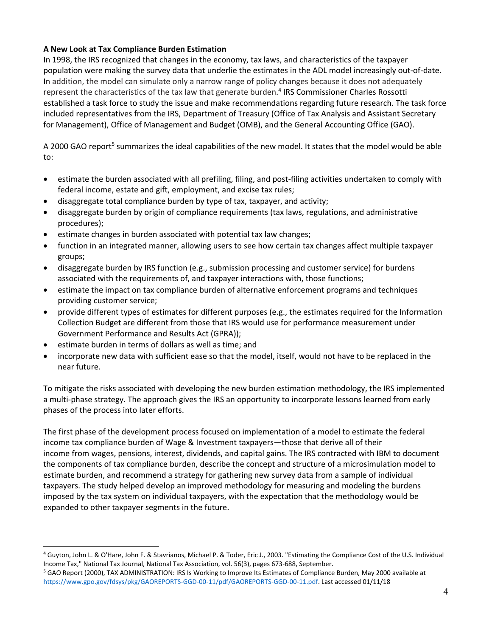# **A New Look at Tax Compliance Burden Estimation**

 In 1998, the IRS recognized that changes in the economy, tax laws, and characteristics of the taxpayer population were making the survey data that underlie the estimates in the ADL model increasingly out‐of‐date. In addition, the model can simulate only a narrow range of policy changes because it does not adequately represent the characteristics of the tax law that generate burden. <sup>4</sup> IRS Commissioner Charles Rossotti established a task force to study the issue and make recommendations regarding future research. The task force included representatives from the IRS, Department of Treasury (Office of Tax Analysis and Assistant Secretary for Management), Office of Management and Budget (OMB), and the General Accounting Office (GAO).

A 2000 GAO report<sup>5</sup> summarizes the ideal capabilities of the new model. It states that the model would be able to:

- estimate the burden associated with all prefiling, filing, and post-filing activities undertaken to comply with federal income, estate and gift, employment, and excise tax rules;
- disaggregate total compliance burden by type of tax, taxpayer, and activity;
- disaggregate burden by origin of compliance requirements (tax laws, regulations, and administrative procedures);
- **•** estimate changes in burden associated with potential tax law changes;
- function in an integrated manner, allowing users to see how certain tax changes affect multiple taxpayer groups;
- disaggregate burden by IRS function (e.g., submission processing and customer service) for burdens associated with the requirements of, and taxpayer interactions with, those functions;
- estimate the impact on tax compliance burden of alternative enforcement programs and techniques providing customer service;
- provide different types of estimates for different purposes (e.g., the estimates required for the Information Collection Budget are different from those that IRS would use for performance measurement under Government Performance and Results Act (GPRA));
- estimate burden in terms of dollars as well as time; and
- incorporate new data with sufficient ease so that the model, itself, would not have to be replaced in the near future.

 To mitigate the risks associated with developing the new burden estimation methodology, the IRS implemented a multi‐phase strategy. The approach gives the IRS an opportunity to incorporate lessons learned from early phases of the process into later efforts.

 The first phase of the development process focused on implementation of a model to estimate the federal income tax compliance burden of Wage & Investment taxpayers—those that derive all of their income from wages, pensions, interest, dividends, and capital gains. The IRS contracted with IBM to document the components of tax compliance burden, describe the concept and structure of a microsimulation model to estimate burden, and recommend a strategy for gathering new survey data from a sample of individual taxpayers. The study helped develop an improved methodology for measuring and modeling the burdens imposed by the tax system on individual taxpayers, with the expectation that the methodology would be expanded to other taxpayer segments in the future.

 <sup>4</sup> Guyton, John L. & O'Hare, John F. & Stavrianos, Michael P. & Toder, Eric J., 2003. "Estimating the Compliance Cost of the U.S. Individual Income Tax," National Tax Journal, National Tax Association, vol. 56(3), pages 673‐688, September.

 [https://www.gpo.gov/fdsys/pkg/GAOREPORTS](https://www.gpo.gov/fdsys/pkg/GAOREPORTS%E2%80%90GGD%E2%80%9000%E2%80%9011/pdf/GAOREPORTS%E2%80%90GGD%E2%80%9000%E2%80%9011.pdf)‐GGD‐00‐11/pdf/GAOREPORTS‐GGD‐00‐11.pdf. Last accessed 01/11/18 <sup>5</sup> GAO Report (2000), TAX ADMINISTRATION: IRS Is Working to Improve Its Estimates of Compliance Burden, May 2000 available at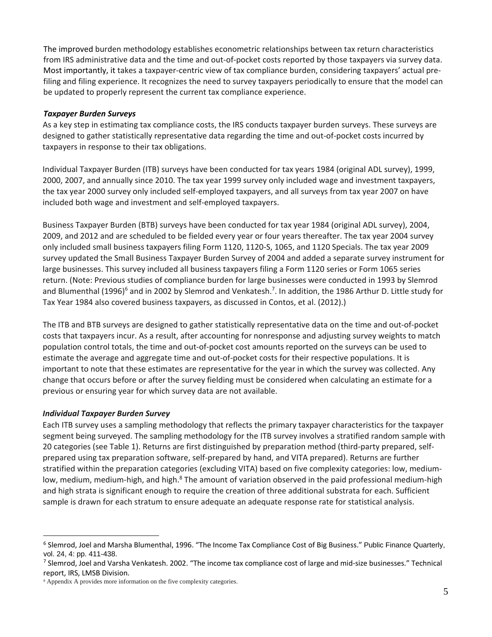The improved burden methodology establishes econometric relationships between tax return characteristics from IRS administrative data and the time and out‐of‐pocket costs reported by those taxpayers via survey data. Most importantly, it takes a taxpayer-centric view of tax compliance burden, considering taxpayers' actual prefiling and filing experience. It recognizes the need to survey taxpayers periodically to ensure that the model can be updated to properly represent the current tax compliance experience.

# *Taxpayer Burden Surveys*

 As a key step in estimating tax compliance costs, the IRS conducts taxpayer burden surveys. These surveys are designed to gather statistically representative data regarding the time and out‐of‐pocket costs incurred by taxpayers in response to their tax obligations.

 Individual Taxpayer Burden (ITB) surveys have been conducted for tax years 1984 (original ADL survey), 1999, 2000, 2007, and annually since 2010. The tax year 1999 survey only included wage and investment taxpayers, the tax year 2000 survey only included self‐employed taxpayers, and all surveys from tax year 2007 on have included both wage and investment and self‐employed taxpayers.

 Business Taxpayer Burden (BTB) surveys have been conducted for tax year 1984 (original ADL survey), 2004, 2009, and 2012 and are scheduled to be fielded every year or four years thereafter. The tax year 2004 survey only included small business taxpayers filing Form 1120, 1120‐S, 1065, and 1120 Specials. The tax year 2009 survey updated the Small Business Taxpayer Burden Survey of 2004 and added a separate survey instrument for large businesses. This survey included all business taxpayers filing a Form 1120 series or Form 1065 series return. (Note: Previous studies of compliance burden for large businesses were conducted in 1993 by Slemrod and Blumenthal (1996)<sup>6</sup> and in 2002 by Slemrod and Venkatesh.<sup>7</sup>. In addition, the 1986 Arthur D. Little study for Tax Year 1984 also covered business taxpayers, as discussed in Contos, et al. (2012).)

 The ITB and BTB surveys are designed to gather statistically representative data on the time and out‐of‐pocket costs that taxpayers incur. As a result, after accounting for nonresponse and adjusting survey weights to match population control totals, the time and out‐of‐pocket cost amounts reported on the surveys can be used to estimate the average and aggregate time and out‐of‐pocket costs for their respective populations. It is important to note that these estimates are representative for the year in which the survey was collected. Any change that occurs before or after the survey fielding must be considered when calculating an estimate for a previous or ensuring year for which survey data are not available.

### *Individual Taxpayer Burden Survey*

 Each ITB survey uses a sampling methodology that reflects the primary taxpayer characteristics for the taxpayer segment being surveyed. The sampling methodology for the ITB survey involves a stratified random sample with 20 categories (see Table 1). Returns are first distinguished by preparation method (third‐party prepared, self‐ prepared using tax preparation software, self‐prepared by hand, and VITA prepared). Returns are further stratified within the preparation categories (excluding VITA) based on five complexity categories: low, medium‐ low, medium, medium-high, and high.<sup>8</sup> The amount of variation observed in the paid professional medium-high and high strata is significant enough to require the creation of three additional substrata for each. Sufficient sample is drawn for each stratum to ensure adequate an adequate response rate for statistical analysis.

<sup>6</sup> Slemrod, Joel and Marsha Blumenthal, 1996. "The Income Tax Compliance Cost of Big Business." Public Finance Quarterly, vol. 24, 4: pp. 411-438.

<sup>7</sup> Slemrod, Joel and Varsha Venkatesh. 2002. "The income tax compliance cost of large and mid‐size businesses." Technical report, IRS, LMSB Division.

<sup>8</sup> Appendix A provides more information on the five complexity categories.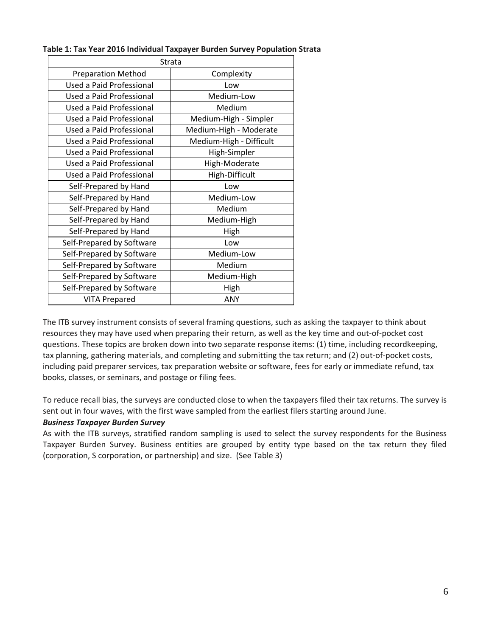| Table 1: Tax Year 2016 Individual Taxpayer Burden Survey Population Strata |  |  |
|----------------------------------------------------------------------------|--|--|
|----------------------------------------------------------------------------|--|--|

| Strata                                   |                         |  |
|------------------------------------------|-------------------------|--|
| <b>Preparation Method</b>                | Complexity              |  |
| Used a Paid Professional                 | Low                     |  |
| Used a Paid Professional                 | Medium-Low              |  |
| Used a Paid Professional                 | Medium                  |  |
| Used a Paid Professional                 | Medium-High - Simpler   |  |
| <b>Used a Paid Professional</b>          | Medium-High - Moderate  |  |
| Used a Paid Professional                 | Medium-High - Difficult |  |
| Used a Paid Professional<br>High-Simpler |                         |  |
| Used a Paid Professional                 | High-Moderate           |  |
| Used a Paid Professional                 | High-Difficult          |  |
| Self-Prepared by Hand                    | Low                     |  |
| Self-Prepared by Hand                    | Medium-Low              |  |
| Self-Prepared by Hand                    | Medium                  |  |
| Self-Prepared by Hand                    | Medium-High             |  |
| Self-Prepared by Hand                    | High                    |  |
| Self-Prepared by Software                | Low                     |  |
| Self-Prepared by Software                | Medium-Low              |  |
| Self-Prepared by Software                | Medium                  |  |
| Self-Prepared by Software                | Medium-High             |  |
| Self-Prepared by Software                | High                    |  |
| <b>VITA Prepared</b>                     | ANY                     |  |

 The ITB survey instrument consists of several framing questions, such as asking the taxpayer to think about resources they may have used when preparing their return, as well as the key time and out‐of‐pocket cost questions. These topics are broken down into two separate response items: (1) time, including recordkeeping, tax planning, gathering materials, and completing and submitting the tax return; and (2) out‐of‐pocket costs, including paid preparer services, tax preparation website or software, fees for early or immediate refund, tax books, classes, or seminars, and postage or filing fees.

 To reduce recall bias, the surveys are conducted close to when the taxpayers filed their tax returns. The survey is sent out in four waves, with the first wave sampled from the earliest filers starting around June.

# *Business Taxpayer Burden Survey*

 As with the ITB surveys, stratified random sampling is used to select the survey respondents for the Business Taxpayer Burden Survey. Business entities are grouped by entity type based on the tax return they filed (corporation, S corporation, or partnership) and size. (See Table 3)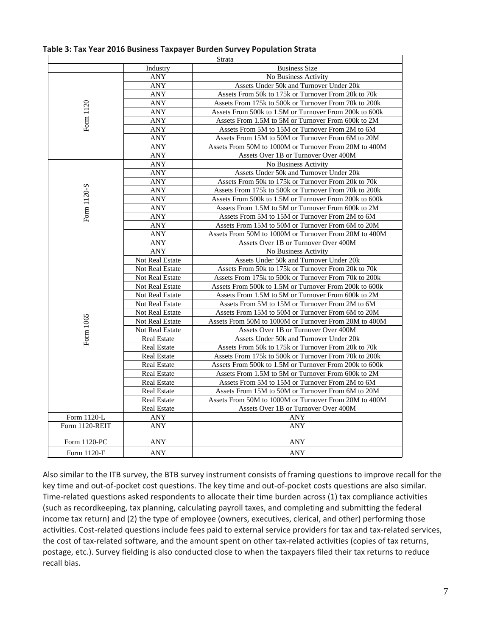|                |                    | Strata                                                 |  |
|----------------|--------------------|--------------------------------------------------------|--|
|                | Industry           | <b>Business Size</b>                                   |  |
|                | ANY                | No Business Activity                                   |  |
|                | <b>ANY</b>         | Assets Under 50k and Turnover Under 20k                |  |
|                | ANY                | Assets From 50k to 175k or Turnover From 20k to 70k    |  |
|                | <b>ANY</b>         | Assets From 175k to 500k or Turnover From 70k to 200k  |  |
|                | ANY                | Assets From 500k to 1.5M or Turnover From 200k to 600k |  |
| Form 1120      | ANY                | Assets From 1.5M to 5M or Turnover From 600k to 2M     |  |
|                | ANY                | Assets From 5M to 15M or Turnover From 2M to 6M        |  |
|                | <b>ANY</b>         | Assets From 15M to 50M or Turnover From 6M to 20M      |  |
|                | ANY                | Assets From 50M to 1000M or Turnover From 20M to 400M  |  |
|                | <b>ANY</b>         | Assets Over 1B or Turnover Over 400M                   |  |
|                | <b>ANY</b>         | No Business Activity                                   |  |
|                | <b>ANY</b>         | Assets Under 50k and Turnover Under 20k                |  |
|                | <b>ANY</b>         | Assets From 50k to 175k or Turnover From 20k to 70k    |  |
|                | <b>ANY</b>         | Assets From 175k to 500k or Turnover From 70k to 200k  |  |
|                | ANY                | Assets From 500k to 1.5M or Turnover From 200k to 600k |  |
|                | ANY                | Assets From 1.5M to 5M or Turnover From 600k to 2M     |  |
| Form 1120-S    | ANY                | Assets From 5M to 15M or Turnover From 2M to 6M        |  |
|                | <b>ANY</b>         | Assets From 15M to 50M or Turnover From 6M to 20M      |  |
|                | ANY                | Assets From 50M to 1000M or Turnover From 20M to 400M  |  |
|                | <b>ANY</b>         | Assets Over 1B or Turnover Over 400M                   |  |
|                | <b>ANY</b>         | No Business Activity                                   |  |
|                | Not Real Estate    | Assets Under 50k and Turnover Under 20k                |  |
|                | Not Real Estate    | Assets From 50k to 175k or Turnover From 20k to 70k    |  |
|                | Not Real Estate    | Assets From 175k to 500k or Turnover From 70k to 200k  |  |
|                | Not Real Estate    | Assets From 500k to 1.5M or Turnover From 200k to 600k |  |
|                | Not Real Estate    | Assets From 1.5M to 5M or Turnover From 600k to 2M     |  |
|                | Not Real Estate    | Assets From 5M to 15M or Turnover From 2M to 6M        |  |
|                | Not Real Estate    | Assets From 15M to 50M or Turnover From 6M to 20M      |  |
|                | Not Real Estate    | Assets From 50M to 1000M or Turnover From 20M to 400M  |  |
|                | Not Real Estate    | Assets Over 1B or Turnover Over 400M                   |  |
| Form 1065      | <b>Real Estate</b> | Assets Under 50k and Turnover Under 20k                |  |
|                | <b>Real Estate</b> | Assets From 50k to 175k or Turnover From 20k to 70k    |  |
|                | <b>Real Estate</b> | Assets From 175k to 500k or Turnover From 70k to 200k  |  |
|                | <b>Real Estate</b> | Assets From 500k to 1.5M or Turnover From 200k to 600k |  |
|                | <b>Real Estate</b> | Assets From 1.5M to 5M or Turnover From 600k to 2M     |  |
|                | <b>Real Estate</b> | Assets From 5M to 15M or Turnover From 2M to 6M        |  |
|                | <b>Real Estate</b> | Assets From 15M to 50M or Turnover From 6M to 20M      |  |
|                | <b>Real Estate</b> | Assets From 50M to 1000M or Turnover From 20M to 400M  |  |
|                | <b>Real Estate</b> | Assets Over 1B or Turnover Over 400M                   |  |
| Form 1120-L    | <b>ANY</b>         | <b>ANY</b>                                             |  |
| Form 1120-REIT | ANY                | <b>ANY</b>                                             |  |
| Form 1120-PC   | ANY                | ANY                                                    |  |
| Form 1120-F    | ANY                | <b>ANY</b>                                             |  |

### **Table 3: Tax Year 2016 Business Taxpayer Burden Survey Population Strata**

 Also similar to the ITB survey, the BTB survey instrument consists of framing questions to improve recall for the key time and out‐of‐pocket cost questions. The key time and out‐of‐pocket costs questions are also similar. Time‐related questions asked respondents to allocate their time burden across (1) tax compliance activities (such as recordkeeping, tax planning, calculating payroll taxes, and completing and submitting the federal income tax return) and (2) the type of employee (owners, executives, clerical, and other) performing those activities. Cost‐related questions include fees paid to external service providers for tax and tax‐related services, the cost of tax‐related software, and the amount spent on other tax‐related activities (copies of tax returns, postage, etc.). Survey fielding is also conducted close to when the taxpayers filed their tax returns to reduce recall bias.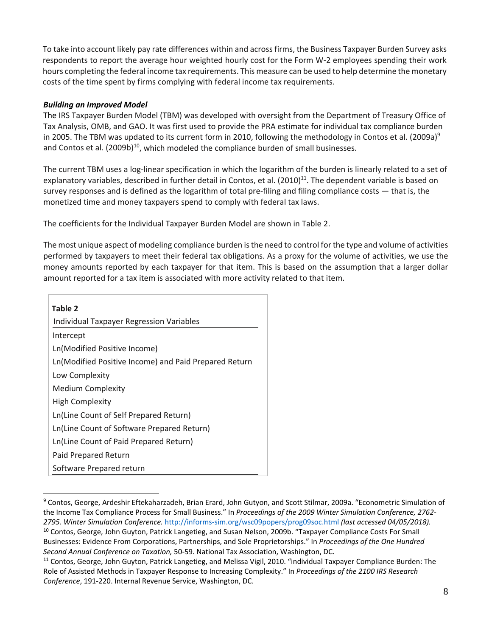To take into account likely pay rate differences within and across firms, the Business Taxpayer Burden Survey asks respondents to report the average hour weighted hourly cost for the Form W‐2 employees spending their work hours completing the federal income tax requirements. This measure can be used to help determine the monetary costs of the time spent by firms complying with federal income tax requirements.

# *Building an Improved Model*

 The IRS Taxpayer Burden Model (TBM) was developed with oversight from the Department of Treasury Office of Tax Analysis, OMB, and GAO. It was first used to provide the PRA estimate for individual tax compliance burden in 2005. The TBM was updated to its current form in 2010, following the methodology in Contos et al. (2009a)<sup>9</sup> and Contos et al. (2009b) $^{10}$ , which modeled the compliance burden of small businesses.

 The current TBM uses a log‐linear specification in which the logarithm of the burden is linearly related to a set of explanatory variables, described in further detail in Contos, et al.  $(2010)^{11}$ . The dependent variable is based on survey responses and is defined as the logarithm of total pre‐filing and filing compliance costs — that is, the monetized time and money taxpayers spend to comply with federal tax laws.

The coefficients for the Individual Taxpayer Burden Model are shown in Table 2.

The most unique aspect of modeling compliance burden is the need to control for the type and volume of activities performed by taxpayers to meet their federal tax obligations. As a proxy for the volume of activities, we use the money amounts reported by each taxpayer for that item. This is based on the assumption that a larger dollar amount reported for a tax item is associated with more activity related to that item.

| Table 2                                               |
|-------------------------------------------------------|
| <b>Individual Taxpayer Regression Variables</b>       |
| Intercept                                             |
| Ln(Modified Positive Income)                          |
| Ln(Modified Positive Income) and Paid Prepared Return |
| Low Complexity                                        |
| <b>Medium Complexity</b>                              |
| <b>High Complexity</b>                                |
| Ln(Line Count of Self Prepared Return)                |
| Ln(Line Count of Software Prepared Return)            |
| Ln(Line Count of Paid Prepared Return)                |
| Paid Prepared Return                                  |
| Software Prepared return                              |

 *2795. Winter Simulation Conference.* http://informs‐[sim.org/wsc09popers/prog09soc.html](http://informs%E2%80%90sim.org/wsc09popers/prog09soc.html) *(last accessed 04/05/2018).* <sup>9</sup> Contos, George, Ardeshir Eftekaharzadeh, Brian Erard, John Gutyon, and Scott Stilmar, 2009a. "Econometric Simulation of the Income Tax Compliance Process for Small Business." In *Proceedings of the 2009 Winter Simulation Conference, 2762‐* <sup>10</sup> Contos, George, John Guyton, Patrick Langetieg, and Susan Nelson, 2009b. "Taxpayer Compliance Costs For Small Businesses: Evidence From Corporations, Partnerships, and Sole Proprietorships." In *Proceedings of the One Hundred Second Annual Conference on Taxation,* 50‐59. National Tax Association, Washington, DC.

<sup>&</sup>lt;sup>11</sup> Contos, George, John Guyton, Patrick Langetieg, and Melissa Vigil, 2010. "individual Taxpayer Compliance Burden: The Role of Assisted Methods in Taxpayer Response to Increasing Complexity." In *Proceedings of the 2100 IRS Research Conference*, 191‐220. Internal Revenue Service, Washington, DC.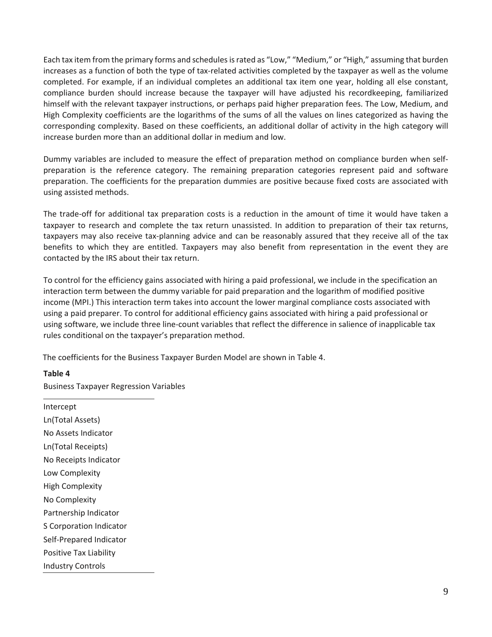Each tax item from the primary forms and schedules is rated as "Low," "Medium," or "High," assuming that burden increases as a function of both the type of tax‐related activities completed by the taxpayer as well as the volume completed. For example, if an individual completes an additional tax item one year, holding all else constant, compliance burden should increase because the taxpayer will have adjusted his recordkeeping, familiarized himself with the relevant taxpayer instructions, or perhaps paid higher preparation fees. The Low, Medium, and High Complexity coefficients are the logarithms of the sums of all the values on lines categorized as having the corresponding complexity. Based on these coefficients, an additional dollar of activity in the high category will increase burden more than an additional dollar in medium and low.

 Dummy variables are included to measure the effect of preparation method on compliance burden when self‐ preparation is the reference category. The remaining preparation categories represent paid and software preparation. The coefficients for the preparation dummies are positive because fixed costs are associated with using assisted methods.

 The trade‐off for additional tax preparation costs is a reduction in the amount of time it would have taken a taxpayer to research and complete the tax return unassisted. In addition to preparation of their tax returns, taxpayers may also receive tax‐planning advice and can be reasonably assured that they receive all of the tax benefits to which they are entitled. Taxpayers may also benefit from representation in the event they are contacted by the IRS about their tax return.

 To control for the efficiency gains associated with hiring a paid professional, we include in the specification an interaction term between the dummy variable for paid preparation and the logarithm of modified positive income (MPI.) This interaction term takes into account the lower marginal compliance costs associated with using a paid preparer. To control for additional efficiency gains associated with hiring a paid professional or using software, we include three line‐count variables that reflect the difference in salience of inapplicable tax rules conditional on the taxpayer's preparation method.

The coefficients for the Business Taxpayer Burden Model are shown in Table 4.

## **Table 4**

Business Taxpayer Regression Variables

 Intercept No Assets Indicator No Receipts Indicator Partnership Indicator Self‐Prepared Indicator Industry Controls Ln(Total Assets) Ln(Total Receipts) Low Complexity High Complexity No Complexity S Corporation Indicator Positive Tax Liability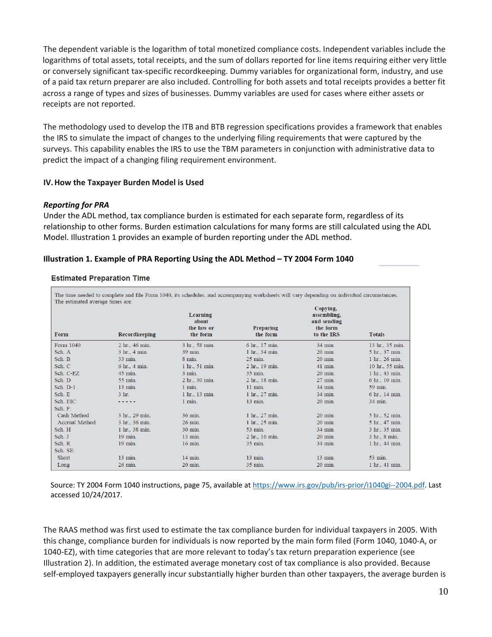The dependent variable is the logarithm of total monetized compliance costs. Independent variables include the logarithms of total assets, total receipts, and the sum of dollars reported for line items requiring either very little or conversely significant tax‐specific recordkeeping. Dummy variables for organizational form, industry, and use of a paid tax return preparer are also included. Controlling for both assets and total receipts provides a better fit across a range of types and sizes of businesses. Dummy variables are used for cases where either assets or receipts are not reported.

 The methodology used to develop the ITB and BTB regression specifications provides a framework that enables the IRS to simulate the impact of changes to the underlying filing requirements that were captured by the surveys. This capability enables the IRS to use the TBM parameters in conjunction with administrative data to predict the impact of a changing filing requirement environment.

### **IV.How the Taxpayer Burden Model is Used**

# *Reporting for PRA*

 Under the ADL method, tax compliance burden is estimated for each separate form, regardless of its relationship to other forms. Burden estimation calculations for many forms are still calculated using the ADL Model. Illustration 1 provides an example of burden reporting under the ADL method.

## **Illustration 1. Example of PRA Reporting Using the ADL Method – TY 2004 Form 1040**

#### **Estimated Preparation Time**

| The estimated average times are: |                |                                             | The time needed to complete and file Form 1040, its schedules, and accompanying worksheets will vary depending on individual circumstances. |                                                                  |                 |
|----------------------------------|----------------|---------------------------------------------|---------------------------------------------------------------------------------------------------------------------------------------------|------------------------------------------------------------------|-----------------|
| Form                             | Recordkeeping  | Learning<br>about<br>the law or<br>the form | Preparing<br>the form                                                                                                                       | Copying,<br>assembling,<br>and sending<br>the form<br>to the IRS | <b>Totals</b>   |
| Form 1040                        | 2 hr., 46 min. | 3 hr., 58 min.                              | 6 hr., 17 min.                                                                                                                              | 34 min.                                                          | 13 hr., 35 min. |
| Sch. A                           | 3 hr., 4 min.  | 39 min.                                     | 1 hr., 34 min.                                                                                                                              | 20 min.                                                          | 5 hr., 37 min.  |
| Sch. B                           | 33 min.        | 8 min.                                      | $25$ min.                                                                                                                                   | 20 min.                                                          | 1 hr., 26 min.  |
| Sch. C                           | 6 hr., 4 min.  | 1 hr., 51 min.                              | 2 hr., 19 min.                                                                                                                              | 41 min.                                                          | 10 hr., 55 min. |
| Sch. C-EZ                        | 45 min.        | $3$ min.                                    | 35 min.                                                                                                                                     | 20 min.                                                          | 1 hr., 43 min.  |
| Sch. D                           | 55 min.        | 2 hr., 30 min.                              | 2 hr., 18 min.                                                                                                                              | 27 min.                                                          | 6 hr., 10 min.  |
| Sch. D-1                         | 13 min.        | $1$ min.                                    | $11$ min.                                                                                                                                   | 34 min.                                                          | 59 min.         |
| Sch. E                           | 3 hr.          | 1 hr., 13 min.                              | 1 hr., 27 min.                                                                                                                              | 34 min.                                                          | 6 hr., 14 min.  |
| Sch. EIC                         | .              | $1$ min.                                    | 13 min.                                                                                                                                     | 20 min.                                                          | 34 min.         |
| Sch. F:                          |                |                                             |                                                                                                                                             |                                                                  |                 |
| Cash Method                      | 3 hr., 29 min. | 36 min.                                     | 1 hr., 27 min.                                                                                                                              | 20 min.                                                          | 5 hr., 52 min.  |
| Accrual Method                   | 3 hr., 36 min. | 26 min.                                     | 1 hr., 25 min.                                                                                                                              | 20 min.                                                          | 5 hr., 47 min.  |
| Sch. H                           | 1 hr., 38 min. | 30 min.                                     | 53 min.                                                                                                                                     | 34 min.                                                          | 3 hr., 35 min.  |
| Sch. J                           | 19 min.        | 13 min.                                     | 2 hr., 16 min.                                                                                                                              | 20 min.                                                          | 3 hr., 8 min.   |
| Sch. R                           | 19 min.        | 16 min.                                     | 35 min.                                                                                                                                     | 34 min.                                                          | 1 hr., 44 min.  |
| Sch. SE:                         |                |                                             |                                                                                                                                             |                                                                  |                 |
| Short                            | 13 min.        | 14 min.                                     | 13 min.                                                                                                                                     | 13 min.                                                          | 53 min.         |
| Long                             | 26 min.        | 20 min.                                     | 35 min.                                                                                                                                     | 20 min.                                                          | 1 hr., 41 min.  |

Source: TY 2004 Form 1040 instructions, page 75, available at [https://www.irs.gov/pub/irs](https://www.irs.gov/pub/irs%E2%80%90prior/i1040gi%E2%80%90%E2%80%902004.pdf)-prior/i1040gi--2004.pdf. Last accessed 10/24/2017.

 The RAAS method was first used to estimate the tax compliance burden for individual taxpayers in 2005. With this change, compliance burden for individuals is now reported by the main form filed (Form 1040, 1040‐A, or 1040‐EZ), with time categories that are more relevant to today's tax return preparation experience (see Illustration 2). In addition, the estimated average monetary cost of tax compliance is also provided. Because self‐employed taxpayers generally incur substantially higher burden than other taxpayers, the average burden is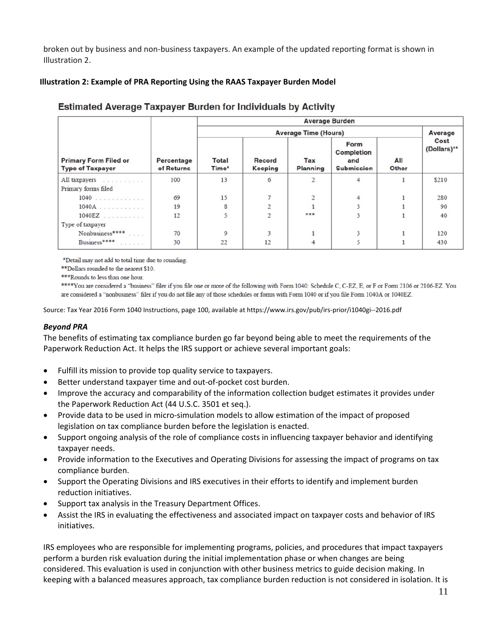broken out by business and non‐business taxpayers. An example of the updated reporting format is shown in Illustration 2.

# **Illustration 2: Example of PRA Reporting Using the RAAS Taxpayer Burden Model**

|                                                         |                                 | <b>Average Burden</b>       |                          |                        |                                                       |              |                     |
|---------------------------------------------------------|---------------------------------|-----------------------------|--------------------------|------------------------|-------------------------------------------------------|--------------|---------------------|
| <b>Primary Form Filed or</b><br><b>Type of Taxpayer</b> | <b>Percentage</b><br>of Returns | <b>Average Time (Hours)</b> |                          |                        |                                                       |              | <b>Average</b>      |
|                                                         |                                 | <b>Total</b><br>Time*       | Record<br><b>Keeping</b> | Tax<br><b>Planning</b> | Form<br><b>Completion</b><br>and<br><b>Submission</b> | All<br>Other | Cost<br>(Dollars)** |
| All taxpayers<br>Primary forms filed                    | 100                             | 13                          | 6                        |                        | 4                                                     |              | \$210               |
| $1040$                                                  | 69                              | 15                          |                          |                        | 4                                                     |              | 280                 |
| $1040A$                                                 | 19                              | 8                           |                          |                        |                                                       |              | 90                  |
| $1040EZ$                                                | 12                              |                             |                          | ***                    |                                                       |              | 40                  |
| Type of taxpayer                                        |                                 |                             |                          |                        |                                                       |              |                     |
| Nonbusiness****                                         | 70                              | 9                           |                          |                        | 3                                                     |              | 120                 |
| Business****<br>and a state of the                      | 30                              | 22                          | 12                       |                        |                                                       |              | 430                 |

# **Estimated Average Taxpayer Burden for Individuals by Activity**

\*Detail may not add to total time due to rounding.

\*\*Dollars rounded to the nearest \$10.

\*\*\* Rounds to less than one hour.

\*\*\*\* You are considered a "business" filer if you file one or more of the following with Form 1040: Schedule C, C-EZ, E, or F or Form 2106 or 2106-EZ. You are considered a "nonbusiness" filer if you do not file any of those schedules or forms with Form 1040 or if you file Form 1040A or 1040EZ.

Source: Tax Year 2016 Form 1040 Instructions, page 100, available at [https://www.irs.gov/pub/irs](https://www.irs.gov/pub/irs%E2%80%90prior/i1040gi%E2%80%90%E2%80%902016.pdf)‐prior/i1040gi‐‐2016.pdf

## *Beyond PRA*

 The benefits of estimating tax compliance burden go far beyond being able to meet the requirements of the Paperwork Reduction Act. It helps the IRS support or achieve several important goals:

- Fulfill its mission to provide top quality service to taxpayers.
- Better understand taxpayer time and out-of-pocket cost burden.
- Improve the accuracy and comparability of the information collection budget estimates it provides under the Paperwork Reduction Act (44 U.S.C. 3501 et seq.).
- Provide data to be used in micro-simulation models to allow estimation of the impact of proposed legislation on tax compliance burden before the legislation is enacted.
- Support ongoing analysis of the role of compliance costs in influencing taxpayer behavior and identifying taxpayer needs.
- Provide information to the Executives and Operating Divisions for assessing the impact of programs on tax compliance burden.
- Support the Operating Divisions and IRS executives in their efforts to identify and implement burden reduction initiatives.
- Support tax analysis in the Treasury Department Offices.
- Assist the IRS in evaluating the effectiveness and associated impact on taxpayer costs and behavior of IRS initiatives.

 IRS employees who are responsible for implementing programs, policies, and procedures that impact taxpayers perform a burden risk evaluation during the initial implementation phase or when changes are being considered. This evaluation is used in conjunction with other business metrics to guide decision making. In keeping with a balanced measures approach, tax compliance burden reduction is not considered in isolation. It is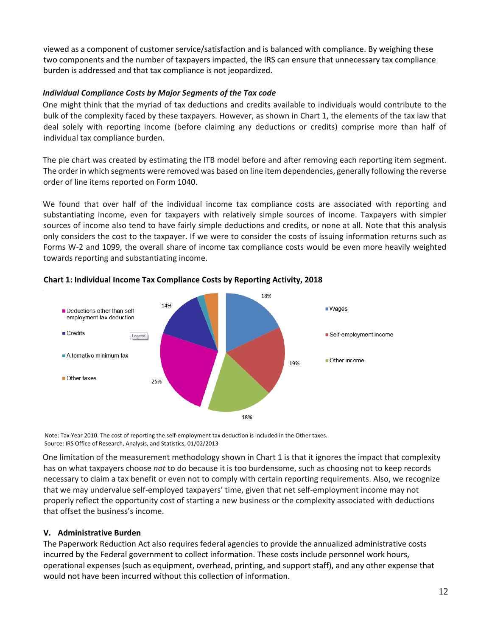viewed as a component of customer service/satisfaction and is balanced with compliance. By weighing these two components and the number of taxpayers impacted, the IRS can ensure that unnecessary tax compliance burden is addressed and that tax compliance is not jeopardized.

# *Individual Compliance Costs by Major Segments of the Tax code*

 One might think that the myriad of tax deductions and credits available to individuals would contribute to the bulk of the complexity faced by these taxpayers. However, as shown in Chart 1, the elements of the tax law that deal solely with reporting income (before claiming any deductions or credits) comprise more than half of individual tax compliance burden.

 The pie chart was created by estimating the ITB model before and after removing each reporting item segment. The order in which segments were removed was based on line item dependencies, generally following the reverse order of line items reported on Form 1040.

 We found that over half of the individual income tax compliance costs are associated with reporting and substantiating income, even for taxpayers with relatively simple sources of income. Taxpayers with simpler sources of income also tend to have fairly simple deductions and credits, or none at all. Note that this analysis only considers the cost to the taxpayer. If we were to consider the costs of issuing information returns such as Forms W‐2 and 1099, the overall share of income tax compliance costs would be even more heavily weighted towards reporting and substantiating income.



 **Chart 1: Individual Income Tax Compliance Costs by Reporting Activity, 2018**

 Note: Tax Year 2010. The cost of reporting the self‐employment tax deduction is included in the Other taxes. Source: IRS Office of Research, Analysis, and Statistics, 01/02/2013

 One limitation of the measurement methodology shown in Chart 1 is that it ignores the impact that complexity has on what taxpayers choose *not* to do because it is too burdensome, such as choosing not to keep records necessary to claim a tax benefit or even not to comply with certain reporting requirements. Also, we recognize that we may undervalue self‐employed taxpayers' time, given that net self‐employment income may not properly reflect the opportunity cost of starting a new business or the complexity associated with deductions that offset the business's income.

## **V. Administrative Burden**

 The Paperwork Reduction Act also requires federal agencies to provide the annualized administrative costs incurred by the Federal government to collect information. These costs include personnel work hours, operational expenses (such as equipment, overhead, printing, and support staff), and any other expense that would not have been incurred without this collection of information.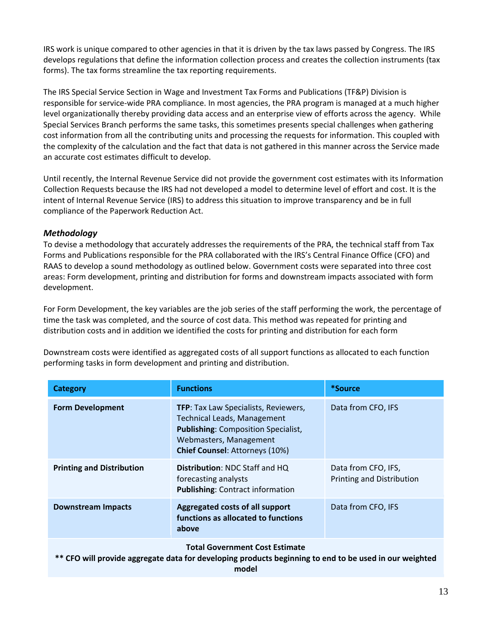IRS work is unique compared to other agencies in that it is driven by the tax laws passed by Congress. The IRS develops regulations that define the information collection process and creates the collection instruments (tax forms). The tax forms streamline the tax reporting requirements.

 The IRS Special Service Section in Wage and Investment Tax Forms and Publications (TF&P) Division is responsible for service‐wide PRA compliance. In most agencies, the PRA program is managed at a much higher level organizationally thereby providing data access and an enterprise view of efforts across the agency. While Special Services Branch performs the same tasks, this sometimes presents special challenges when gathering cost information from all the contributing units and processing the requests for information. This coupled with the complexity of the calculation and the fact that data is not gathered in this manner across the Service made an accurate cost estimates difficult to develop.

 Until recently, the Internal Revenue Service did not provide the government cost estimates with its Information Collection Requests because the IRS had not developed a model to determine level of effort and cost. It is the intent of Internal Revenue Service (IRS) to address this situation to improve transparency and be in full compliance of the Paperwork Reduction Act.

# *Methodology*

 To devise a methodology that accurately addresses the requirements of the PRA, the technical staff from Tax Forms and Publications responsible for the PRA collaborated with the IRS's Central Finance Office (CFO) and RAAS to develop a sound methodology as outlined below. Government costs were separated into three cost areas: Form development, printing and distribution for forms and downstream impacts associated with form development.

 For Form Development, the key variables are the job series of the staff performing the work, the percentage of time the task was completed, and the source of cost data. This method was repeated for printing and distribution costs and in addition we identified the costs for printing and distribution for each form

 Downstream costs were identified as aggregated costs of all support functions as allocated to each function performing tasks in form development and printing and distribution.

| <b>Category</b>                  | <b>Functions</b>                                                                                                                                                                     | <i>*Source</i>                                   |
|----------------------------------|--------------------------------------------------------------------------------------------------------------------------------------------------------------------------------------|--------------------------------------------------|
| <b>Form Development</b>          | TFP: Tax Law Specialists, Reviewers,<br><b>Technical Leads, Management</b><br><b>Publishing: Composition Specialist,</b><br>Webmasters, Management<br>Chief Counsel: Attorneys (10%) | Data from CFO, IFS                               |
| <b>Printing and Distribution</b> | Distribution: NDC Staff and HQ<br>forecasting analysts<br><b>Publishing: Contract information</b>                                                                                    | Data from CFO, IFS,<br>Printing and Distribution |
| <b>Downstream Impacts</b>        | Aggregated costs of all support<br>functions as allocated to functions<br>above                                                                                                      | Data from CFO, IFS                               |
|                                  |                                                                                                                                                                                      |                                                  |

## **Total Government Cost Estimate**

\*\* CFO will provide aggregate data for developing products beginning to end to be used in our weighted **model**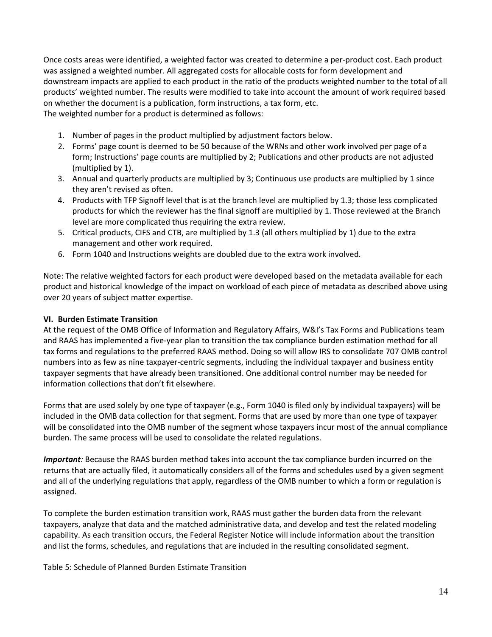Once costs areas were identified, a weighted factor was created to determine a per‐product cost. Each product was assigned a weighted number. All aggregated costs for allocable costs for form development and downstream impacts are applied to each product in the ratio of the products weighted number to the total of all products' weighted number. The results were modified to take into account the amount of work required based on whether the document is a publication, form instructions, a tax form, etc. The weighted number for a product is determined as follows:

- 1. Number of pages in the product multiplied by adjustment factors below.
- 2. Forms' page count is deemed to be 50 because of the WRNs and other work involved per page of a form; Instructions' page counts are multiplied by 2; Publications and other products are not adjusted (multiplied by 1).
- 3. Annual and quarterly products are multiplied by 3; Continuous use products are multiplied by 1 since they aren't revised as often.
- 4. Products with TFP Signoff level that is at the branch level are multiplied by 1.3; those less complicated products for which the reviewer has the final signoff are multiplied by 1. Those reviewed at the Branch level are more complicated thus requiring the extra review.
- 5. Critical products, CIFS and CTB, are multiplied by 1.3 (all others multiplied by 1) due to the extra management and other work required.
- 6. Form 1040 and Instructions weights are doubled due to the extra work involved.

 Note: The relative weighted factors for each product were developed based on the metadata available for each product and historical knowledge of the impact on workload of each piece of metadata as described above using over 20 years of subject matter expertise.

## **VI. Burden Estimate Transition**

 At the request of the OMB Office of Information and Regulatory Affairs, W&I's Tax Forms and Publications team and RAAS has implemented a five‐year plan to transition the tax compliance burden estimation method for all tax forms and regulations to the preferred RAAS method. Doing so will allow IRS to consolidate 707 OMB control numbers into as few as nine taxpayer‐centric segments, including the individual taxpayer and business entity taxpayer segments that have already been transitioned. One additional control number may be needed for information collections that don't fit elsewhere.

 Forms that are used solely by one type of taxpayer (e.g., Form 1040 is filed only by individual taxpayers) will be included in the OMB data collection for that segment. Forms that are used by more than one type of taxpayer will be consolidated into the OMB number of the segment whose taxpayers incur most of the annual compliance burden. The same process will be used to consolidate the related regulations.

 *Important:* Because the RAAS burden method takes into account the tax compliance burden incurred on the returns that are actually filed, it automatically considers all of the forms and schedules used by a given segment and all of the underlying regulations that apply, regardless of the OMB number to which a form or regulation is assigned.

 To complete the burden estimation transition work, RAAS must gather the burden data from the relevant taxpayers, analyze that data and the matched administrative data, and develop and test the related modeling capability. As each transition occurs, the Federal Register Notice will include information about the transition and list the forms, schedules, and regulations that are included in the resulting consolidated segment.

Table 5: Schedule of Planned Burden Estimate Transition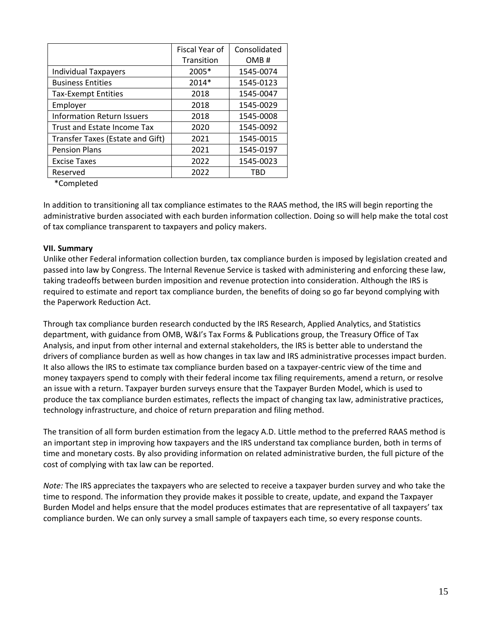|                                   | Fiscal Year of | Consolidated |
|-----------------------------------|----------------|--------------|
|                                   | Transition     | OMB#         |
| <b>Individual Taxpayers</b>       | 2005*          | 1545-0074    |
| <b>Business Entities</b>          | 2014*          | 1545-0123    |
| <b>Tax-Exempt Entities</b>        | 2018           | 1545-0047    |
| Employer                          | 2018           | 1545-0029    |
| <b>Information Return Issuers</b> | 2018           | 1545-0008    |
| Trust and Estate Income Tax       | 2020           | 1545-0092    |
| Transfer Taxes (Estate and Gift)  | 2021           | 1545-0015    |
| <b>Pension Plans</b>              | 2021           | 1545-0197    |
| <b>Excise Taxes</b>               | 2022           | 1545-0023    |
| Reserved                          | 2022           | TRD          |

\*Completed

 In addition to transitioning all tax compliance estimates to the RAAS method, the IRS will begin reporting the administrative burden associated with each burden information collection. Doing so will help make the total cost of tax compliance transparent to taxpayers and policy makers.

## **VII. Summary**

 Unlike other Federal information collection burden, tax compliance burden is imposed by legislation created and passed into law by Congress. The Internal Revenue Service is tasked with administering and enforcing these law, taking tradeoffs between burden imposition and revenue protection into consideration. Although the IRS is required to estimate and report tax compliance burden, the benefits of doing so go far beyond complying with the Paperwork Reduction Act.

 Through tax compliance burden research conducted by the IRS Research, Applied Analytics, and Statistics department, with guidance from OMB, W&I's Tax Forms & Publications group, the Treasury Office of Tax Analysis, and input from other internal and external stakeholders, the IRS is better able to understand the drivers of compliance burden as well as how changes in tax law and IRS administrative processes impact burden. It also allows the IRS to estimate tax compliance burden based on a taxpayer‐centric view of the time and money taxpayers spend to comply with their federal income tax filing requirements, amend a return, or resolve an issue with a return. Taxpayer burden surveys ensure that the Taxpayer Burden Model, which is used to produce the tax compliance burden estimates, reflects the impact of changing tax law, administrative practices, technology infrastructure, and choice of return preparation and filing method.

 The transition of all form burden estimation from the legacy A.D. Little method to the preferred RAAS method is an important step in improving how taxpayers and the IRS understand tax compliance burden, both in terms of time and monetary costs. By also providing information on related administrative burden, the full picture of the cost of complying with tax law can be reported.

 *Note:* The IRS appreciates the taxpayers who are selected to receive a taxpayer burden survey and who take the time to respond. The information they provide makes it possible to create, update, and expand the Taxpayer Burden Model and helps ensure that the model produces estimates that are representative of all taxpayers' tax compliance burden. We can only survey a small sample of taxpayers each time, so every response counts.